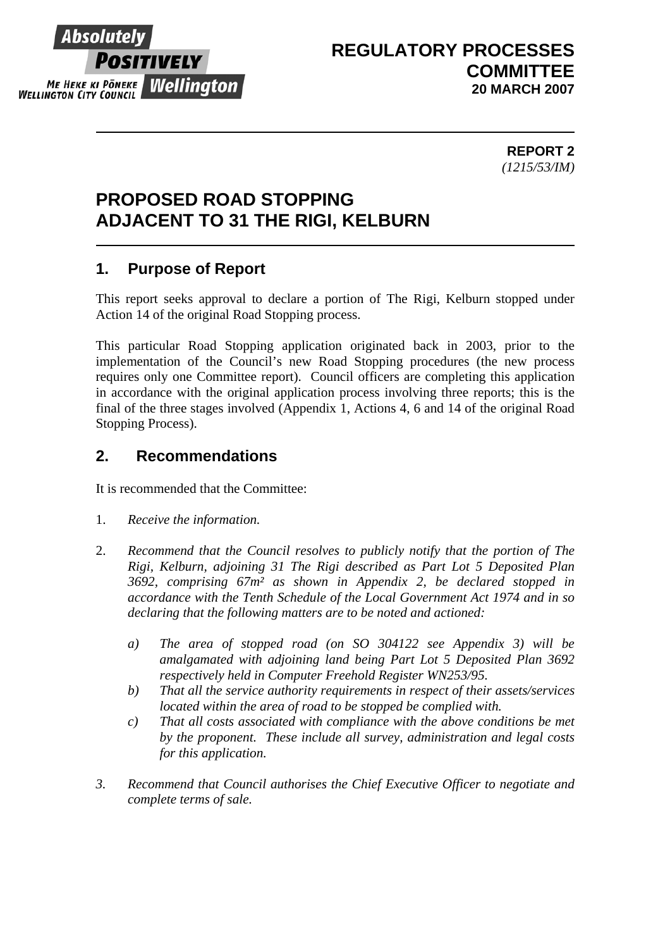

# **REGULATORY PROCESSES COMMITTEE 20 MARCH 2007**

 **REPORT 2** *(1215/53/IM)* 

# **PROPOSED ROAD STOPPING ADJACENT TO 31 THE RIGI, KELBURN**

# **1. Purpose of Report**

This report seeks approval to declare a portion of The Rigi, Kelburn stopped under Action 14 of the original Road Stopping process.

This particular Road Stopping application originated back in 2003, prior to the implementation of the Council's new Road Stopping procedures (the new process requires only one Committee report). Council officers are completing this application in accordance with the original application process involving three reports; this is the final of the three stages involved (Appendix 1, Actions 4, 6 and 14 of the original Road Stopping Process).

## **2. Recommendations**

It is recommended that the Committee:

- 1. *Receive the information.*
- 2. *Recommend that the Council resolves to publicly notify that the portion of The Rigi, Kelburn, adjoining 31 The Rigi described as Part Lot 5 Deposited Plan 3692, comprising 67m² as shown in Appendix 2, be declared stopped in accordance with the Tenth Schedule of the Local Government Act 1974 and in so declaring that the following matters are to be noted and actioned:* 
	- *a) The area of stopped road (on SO 304122 see Appendix 3) will be amalgamated with adjoining land being Part Lot 5 Deposited Plan 3692 respectively held in Computer Freehold Register WN253/95.*
	- *b) That all the service authority requirements in respect of their assets/services located within the area of road to be stopped be complied with.*
	- *c) That all costs associated with compliance with the above conditions be met by the proponent. These include all survey, administration and legal costs for this application.*
- *3. Recommend that Council authorises the Chief Executive Officer to negotiate and complete terms of sale.*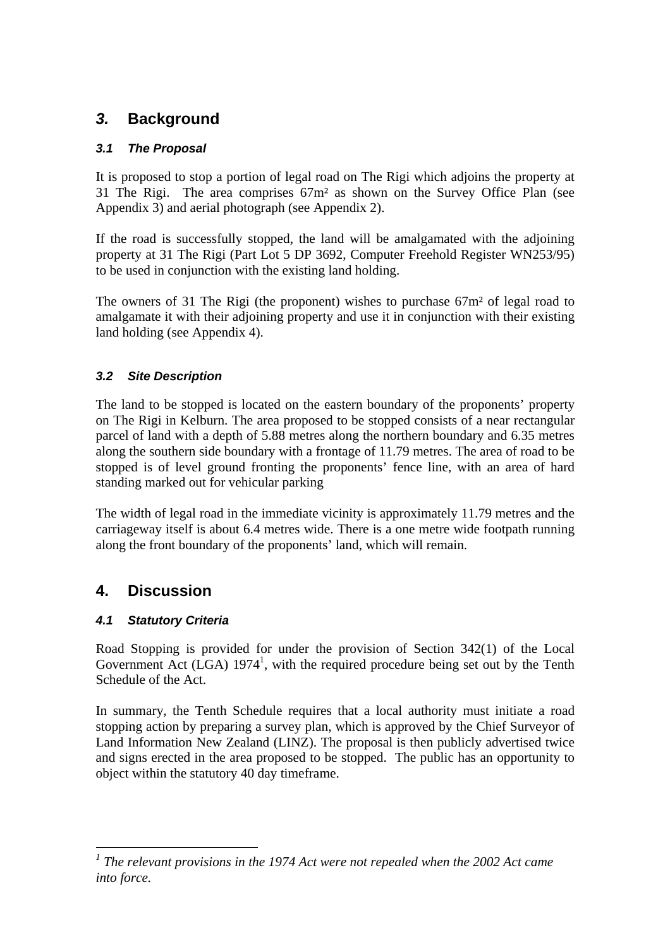# *3.* **Background**

### *3.1 The Proposal*

It is proposed to stop a portion of legal road on The Rigi which adjoins the property at 31 The Rigi. The area comprises 67m² as shown on the Survey Office Plan (see Appendix 3) and aerial photograph (see Appendix 2).

If the road is successfully stopped, the land will be amalgamated with the adjoining property at 31 The Rigi (Part Lot 5 DP 3692, Computer Freehold Register WN253/95) to be used in conjunction with the existing land holding.

The owners of 31 The Rigi (the proponent) wishes to purchase 67m² of legal road to amalgamate it with their adjoining property and use it in conjunction with their existing land holding (see Appendix 4).

### *3.2 Site Description*

The land to be stopped is located on the eastern boundary of the proponents' property on The Rigi in Kelburn. The area proposed to be stopped consists of a near rectangular parcel of land with a depth of 5.88 metres along the northern boundary and 6.35 metres along the southern side boundary with a frontage of 11.79 metres. The area of road to be stopped is of level ground fronting the proponents' fence line, with an area of hard standing marked out for vehicular parking

The width of legal road in the immediate vicinity is approximately 11.79 metres and the carriageway itself is about 6.4 metres wide. There is a one metre wide footpath running along the front boundary of the proponents' land, which will remain.

# **4. Discussion**

 $\overline{a}$ 

## *4.1 Statutory Criteria*

Road Stopping is provided for under the provision of Section 342(1) of the Local Government Act  $(LGA)$  1974<sup>1</sup>, with the required procedure being set out by the Tenth Schedule of the Act.

In summary, the Tenth Schedule requires that a local authority must initiate a road stopping action by preparing a survey plan, which is approved by the Chief Surveyor of Land Information New Zealand (LINZ). The proposal is then publicly advertised twice and signs erected in the area proposed to be stopped. The public has an opportunity to object within the statutory 40 day timeframe.

<sup>&</sup>lt;sup>1</sup> The relevant provisions in the 1974 Act were not repealed when the 2002 Act came *into force.*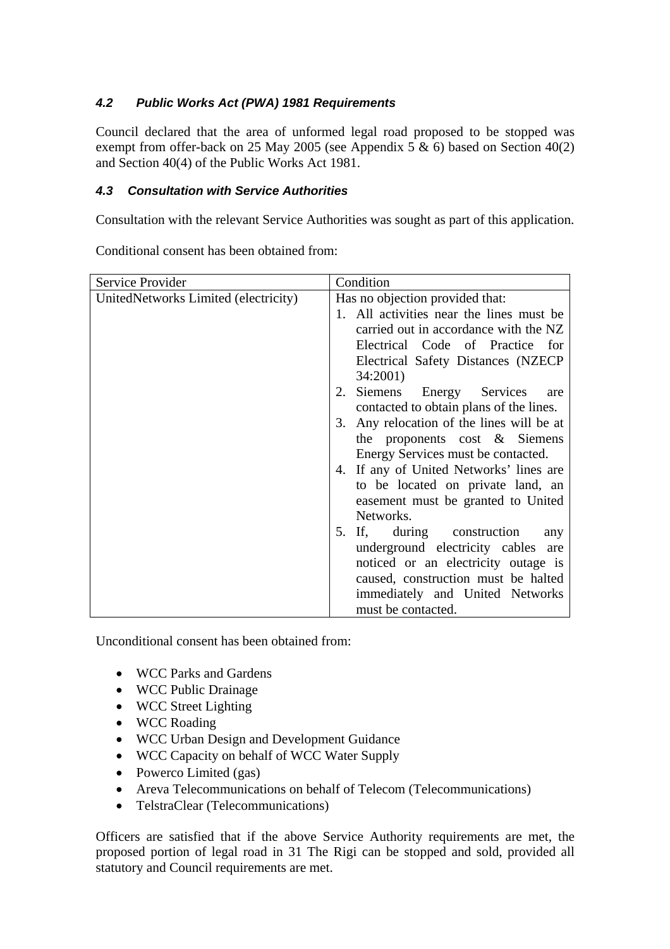## *4.2 Public Works Act (PWA) 1981 Requirements*

Council declared that the area of unformed legal road proposed to be stopped was exempt from offer-back on 25 May 2005 (see Appendix 5  $\&$  6) based on Section 40(2) and Section 40(4) of the Public Works Act 1981.

### *4.3 Consultation with Service Authorities*

Consultation with the relevant Service Authorities was sought as part of this application.

| Service Provider                     | Condition                                 |
|--------------------------------------|-------------------------------------------|
| UnitedNetworks Limited (electricity) | Has no objection provided that:           |
|                                      | 1. All activities near the lines must be  |
|                                      | carried out in accordance with the NZ     |
|                                      | Electrical Code of Practice for           |
|                                      | Electrical Safety Distances (NZECP)       |
|                                      | 34:2001)                                  |
|                                      | 2. Siemens Energy Services<br>are         |
|                                      | contacted to obtain plans of the lines.   |
|                                      | 3. Any relocation of the lines will be at |
|                                      | the proponents cost $\&$ Siemens          |
|                                      | Energy Services must be contacted.        |
|                                      | 4. If any of United Networks' lines are   |
|                                      | to be located on private land, an         |
|                                      | easement must be granted to United        |
|                                      | Networks.                                 |
|                                      | 5. If, during construction<br>any         |
|                                      | underground electricity cables are        |
|                                      | noticed or an electricity outage is       |
|                                      | caused, construction must be halted       |
|                                      | immediately and United Networks           |
|                                      | must be contacted.                        |

Conditional consent has been obtained from:

Unconditional consent has been obtained from:

- WCC Parks and Gardens
- WCC Public Drainage
- WCC Street Lighting
- WCC Roading
- WCC Urban Design and Development Guidance
- WCC Capacity on behalf of WCC Water Supply
- Powerco Limited (gas)
- Areva Telecommunications on behalf of Telecom (Telecommunications)
- TelstraClear (Telecommunications)

Officers are satisfied that if the above Service Authority requirements are met, the proposed portion of legal road in 31 The Rigi can be stopped and sold, provided all statutory and Council requirements are met.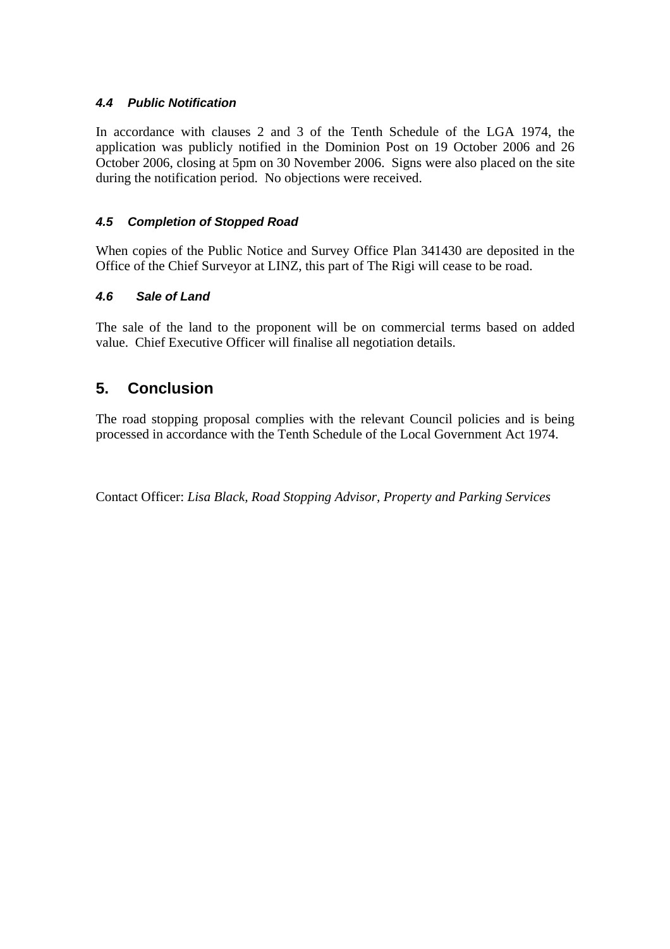#### *4.4 Public Notification*

In accordance with clauses 2 and 3 of the Tenth Schedule of the LGA 1974, the application was publicly notified in the Dominion Post on 19 October 2006 and 26 October 2006, closing at 5pm on 30 November 2006. Signs were also placed on the site during the notification period. No objections were received.

#### *4.5 Completion of Stopped Road*

When copies of the Public Notice and Survey Office Plan 341430 are deposited in the Office of the Chief Surveyor at LINZ, this part of The Rigi will cease to be road.

#### *4.6 Sale of Land*

The sale of the land to the proponent will be on commercial terms based on added value. Chief Executive Officer will finalise all negotiation details.

## **5. Conclusion**

The road stopping proposal complies with the relevant Council policies and is being processed in accordance with the Tenth Schedule of the Local Government Act 1974.

Contact Officer: *Lisa Black, Road Stopping Advisor, Property and Parking Services*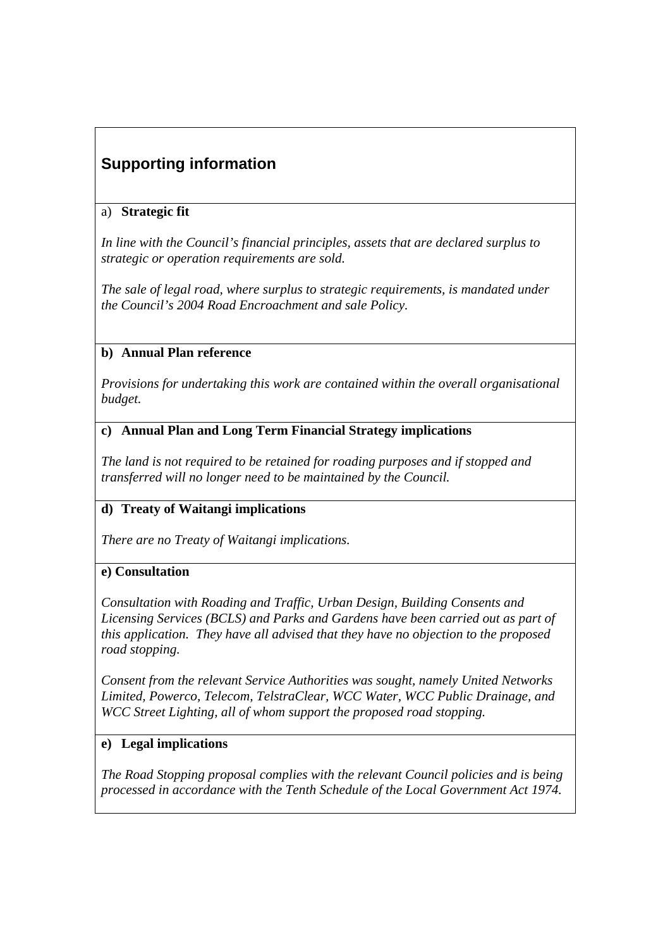# **Supporting information**

### a) **Strategic fit**

*In line with the Council's financial principles, assets that are declared surplus to strategic or operation requirements are sold.*

*The sale of legal road, where surplus to strategic requirements, is mandated under the Council's 2004 Road Encroachment and sale Policy.* 

### **b) Annual Plan reference**

*Provisions for undertaking this work are contained within the overall organisational budget.* 

#### **c) Annual Plan and Long Term Financial Strategy implications**

*The land is not required to be retained for roading purposes and if stopped and transferred will no longer need to be maintained by the Council.*

## **d) Treaty of Waitangi implications**

*There are no Treaty of Waitangi implications.* 

#### **e) Consultation**

*Consultation with Roading and Traffic, Urban Design, Building Consents and Licensing Services (BCLS) and Parks and Gardens have been carried out as part of this application. They have all advised that they have no objection to the proposed road stopping.* 

*Consent from the relevant Service Authorities was sought, namely United Networks Limited, Powerco, Telecom, TelstraClear, WCC Water, WCC Public Drainage, and WCC Street Lighting, all of whom support the proposed road stopping.* 

#### **e) Legal implications**

*The Road Stopping proposal complies with the relevant Council policies and is being processed in accordance with the Tenth Schedule of the Local Government Act 1974.*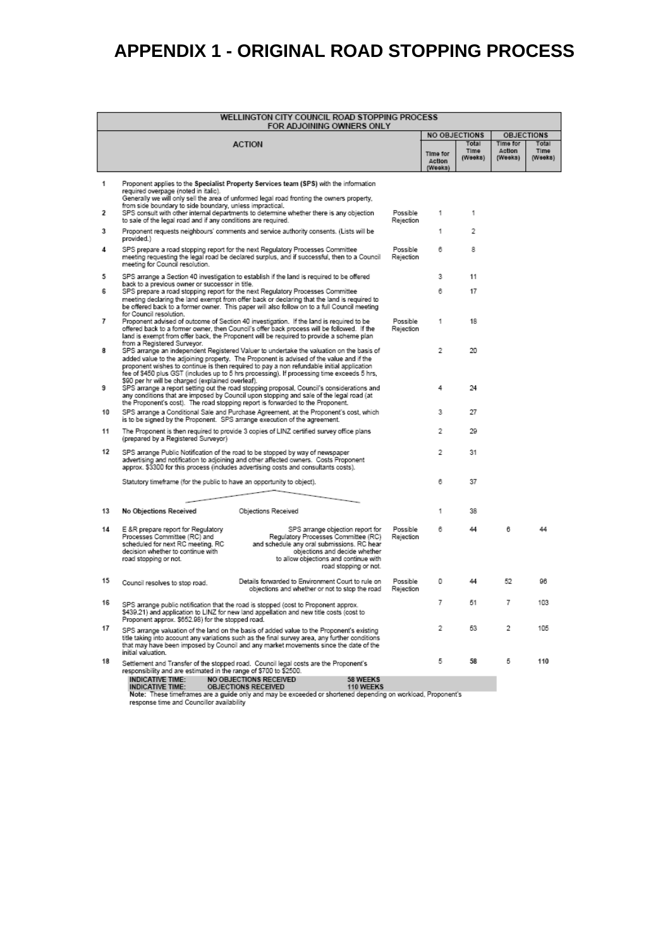# **APPENDIX 1 - ORIGINAL ROAD STOPPING PROCESS**

| WELLINGTON CITY COUNCIL ROAD STOPPING PROCESS<br>FOR ADJOINING OWNERS ONLY |                                                                                                                                                                       |                                                                                                                                                                                                                                                                                                                                                                               |                                                                                                                                                                                                                          |                       |                               |                          |                               |                          |
|----------------------------------------------------------------------------|-----------------------------------------------------------------------------------------------------------------------------------------------------------------------|-------------------------------------------------------------------------------------------------------------------------------------------------------------------------------------------------------------------------------------------------------------------------------------------------------------------------------------------------------------------------------|--------------------------------------------------------------------------------------------------------------------------------------------------------------------------------------------------------------------------|-----------------------|-------------------------------|--------------------------|-------------------------------|--------------------------|
|                                                                            |                                                                                                                                                                       |                                                                                                                                                                                                                                                                                                                                                                               |                                                                                                                                                                                                                          | <b>NO OBJECTIONS</b>  |                               | <b>OBJECTIONS</b>        |                               |                          |
|                                                                            |                                                                                                                                                                       | <b>ACTION</b>                                                                                                                                                                                                                                                                                                                                                                 |                                                                                                                                                                                                                          |                       | Time for<br>Action<br>(Weeks) | Total<br>Time<br>(Weeks) | Time for<br>Action<br>(Weeks) | Total<br>Time<br>(Weeks) |
| 1                                                                          | required overpage (noted in italic).                                                                                                                                  | Proponent applies to the Specialist Property Services team (SPS) with the information<br>Generally we will only sell the area of unformed legal road fronting the owners property,                                                                                                                                                                                            |                                                                                                                                                                                                                          |                       |                               |                          |                               |                          |
| 2                                                                          | from side boundary to side boundary, unless impractical.                                                                                                              | SPS consult with other internal departments to determine whether there is any objection<br>to sale of the legal road and if any conditions are required.                                                                                                                                                                                                                      |                                                                                                                                                                                                                          | Possible<br>Rejection | 1                             | 1                        |                               |                          |
| 3                                                                          | provided.)                                                                                                                                                            | Proponent requests neighbours' comments and service authority consents. (Lists will be                                                                                                                                                                                                                                                                                        |                                                                                                                                                                                                                          |                       | 1                             | $\overline{2}$           |                               |                          |
| 4                                                                          | meeting for Council resolution.                                                                                                                                       | SPS prepare a road stopping report for the next Regulatory Processes Committee<br>meeting requesting the legal road be declared surplus, and if successful, then to a Council                                                                                                                                                                                                 |                                                                                                                                                                                                                          | Possible<br>Rejection | 6                             | 8                        |                               |                          |
| 5                                                                          | back to a previous owner or successor in title.                                                                                                                       | SPS arrange a Section 40 investigation to establish if the land is required to be offered                                                                                                                                                                                                                                                                                     |                                                                                                                                                                                                                          |                       | 3                             | 11                       |                               |                          |
| 6                                                                          | for Council resolution.                                                                                                                                               | SPS prepare a road stopping report for the next Regulatory Processes Committee<br>meeting declaring the land exempt from offer back or declaring that the land is required to<br>be offered back to a former owner. This paper will also follow on to a full Council meeting                                                                                                  |                                                                                                                                                                                                                          |                       | 6                             | 17                       |                               |                          |
| 7                                                                          | from a Registered Surveyor.                                                                                                                                           | Proponent advised of outcome of Section 40 investigation. If the land is required to be<br>offered back to a former owner, then Council's offer back process will be followed. If the<br>land is exempt from offer back, the Proponent will be required to provide a scheme plan                                                                                              |                                                                                                                                                                                                                          | Possible<br>Rejection | 1                             | 18                       |                               |                          |
| я                                                                          | \$90 per hr will be charged (explained overleaf).                                                                                                                     | SPS arrange an independent Registered Valuer to undertake the valuation on the basis of<br>added value to the adjoining property. The Proponent is advised of the value and if the<br>proponent wishes to continue is then required to pay a non refundable initial application<br>fee of \$450 plus GST (includes up to 5 hrs processing). If processing time exceeds 5 hrs, |                                                                                                                                                                                                                          |                       | $\overline{2}$                | 20                       |                               |                          |
| 9                                                                          |                                                                                                                                                                       | SPS arrange a report setting out the road stopping proposal, Council's considerations and<br>any conditions that are imposed by Council upon stopping and sale of the legal road (at<br>the Proponent's cost). The road stopping report is forwarded to the Proponent.                                                                                                        |                                                                                                                                                                                                                          |                       | 4                             | 24                       |                               |                          |
| 10                                                                         |                                                                                                                                                                       | SPS arrange a Conditional Sale and Purchase Agreement, at the Proponent's cost, which<br>is to be signed by the Proponent. SPS arrange execution of the agreement.                                                                                                                                                                                                            |                                                                                                                                                                                                                          |                       | 3                             | 27                       |                               |                          |
| 11                                                                         | (prepared by a Registered Surveyor)                                                                                                                                   | The Proponent is then required to provide 3 copies of LINZ certified survey office plans                                                                                                                                                                                                                                                                                      |                                                                                                                                                                                                                          |                       | 2                             | 29                       |                               |                          |
| 12                                                                         |                                                                                                                                                                       | SPS arrange Public Notification of the road to be stopped by way of newspaper<br>advertising and notification to adjoining and other affected owners. Costs Proponent<br>approx. \$3300 for this process (includes advertising costs and consultants costs).                                                                                                                  |                                                                                                                                                                                                                          |                       | 2                             | 31                       |                               |                          |
|                                                                            |                                                                                                                                                                       | Statutory timeframe (for the public to have an opportunity to object).                                                                                                                                                                                                                                                                                                        |                                                                                                                                                                                                                          |                       | 6                             | 37                       |                               |                          |
|                                                                            |                                                                                                                                                                       |                                                                                                                                                                                                                                                                                                                                                                               |                                                                                                                                                                                                                          |                       |                               |                          |                               |                          |
| 13                                                                         | No Objections Received                                                                                                                                                | Objections Received                                                                                                                                                                                                                                                                                                                                                           |                                                                                                                                                                                                                          |                       | 1                             | 38                       |                               |                          |
| 14                                                                         | E &R prepare report for Regulatory<br>Processes Committee (RC) and<br>scheduled for next RC meeting. RC<br>decision whether to continue with<br>road stopping or not. |                                                                                                                                                                                                                                                                                                                                                                               | SPS arrange objection report for<br>Regulatory Processes Committee (RC)<br>and schedule any oral submissions. RC hear<br>objections and decide whether<br>to allow objections and continue with<br>road stopping or not. | Possible<br>Rejection | 6                             | 44                       | 6                             |                          |
| 15                                                                         | Council resolves to stop road.                                                                                                                                        | Details forwarded to Environment Court to rule on                                                                                                                                                                                                                                                                                                                             | objections and whether or not to stop the road                                                                                                                                                                           | Possible<br>Rejection | 0                             | 44                       | 52                            | 96                       |
| 16                                                                         | Proponent approx. \$652.98) for the stopped road.                                                                                                                     | SPS arrange public notification that the road is stopped (cost to Proponent approx.<br>\$439.21) and application to LINZ for new land appellation and new title costs (cost to                                                                                                                                                                                                |                                                                                                                                                                                                                          |                       | 7                             | 51                       | 7                             | 103                      |
| 17                                                                         | initial valuation.                                                                                                                                                    | SPS arrange valuation of the land on the basis of added value to the Proponent's existing<br>title taking into account any variations such as the final survey area, any further conditions<br>that may have been imposed by Council and any market movements since the date of the                                                                                           |                                                                                                                                                                                                                          |                       | 2                             | 53                       | 2                             | 105                      |
| 18                                                                         | <b>INDICATIVE TIME:</b>                                                                                                                                               | Settlement and Transfer of the stopped road. Council legal costs are the Proponent's<br>responsibility and are estimated in the range of \$700 to \$2500.<br>NO OBJECTIONS RECEIVED                                                                                                                                                                                           | 58 WEEKS                                                                                                                                                                                                                 |                       | 5                             | 58                       | 5                             | 110                      |
|                                                                            | <b>INDICATIVE TIME:</b>                                                                                                                                               | OBJECTIONS RECEIVED                                                                                                                                                                                                                                                                                                                                                           | 110 WEEKS                                                                                                                                                                                                                |                       |                               |                          |                               |                          |

Note: These timeframes are a guide only and may be exceeded or shortened depending on workload, Proponent's<br>response time and Councillor availability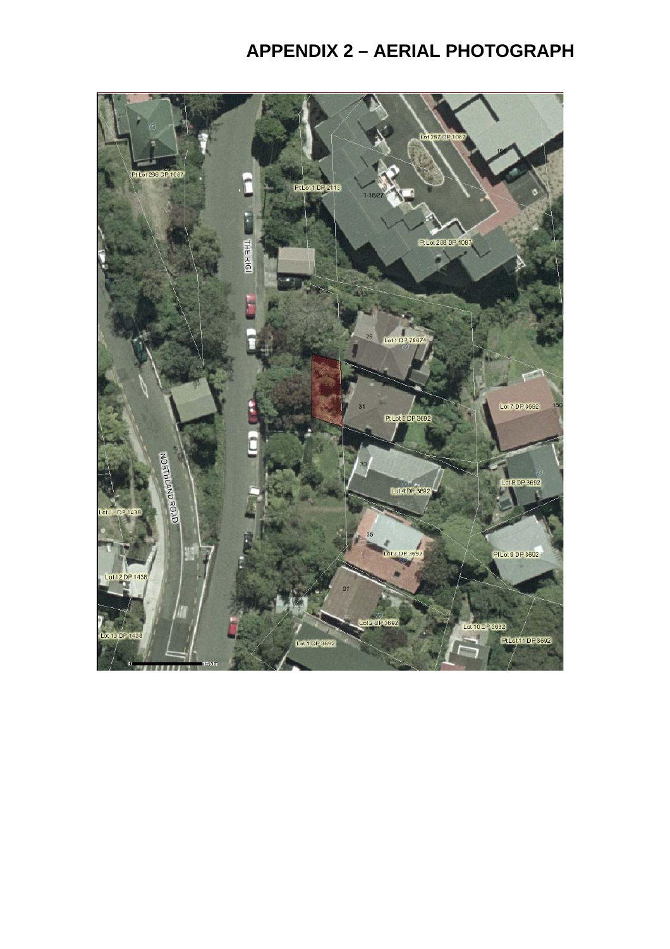# **APPENDIX 2 – AERIAL PHOTOGRAPH**

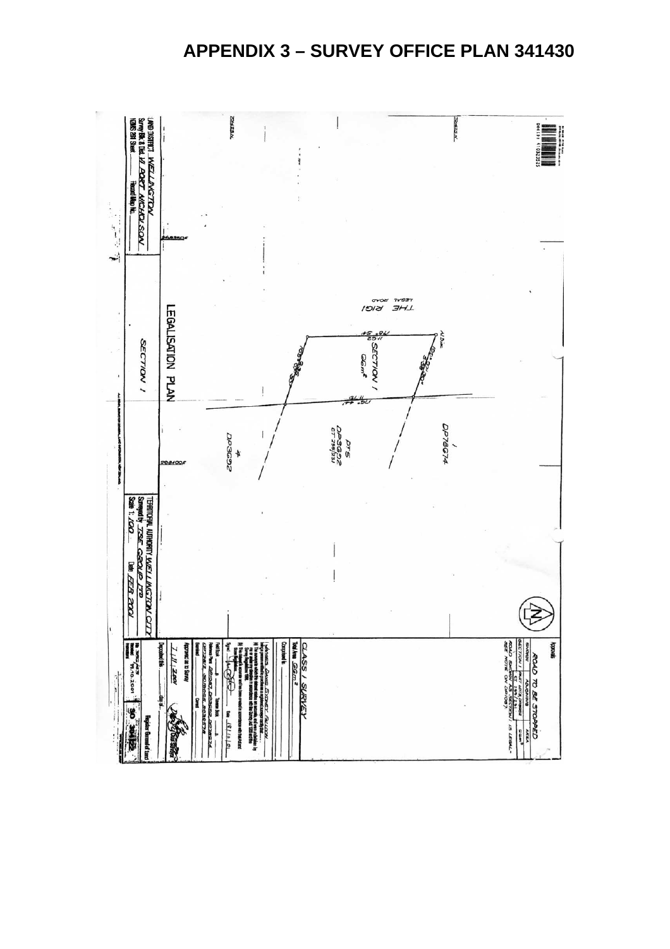# **APPENDIX 3 – SURVEY OFFICE PLAN 341430**

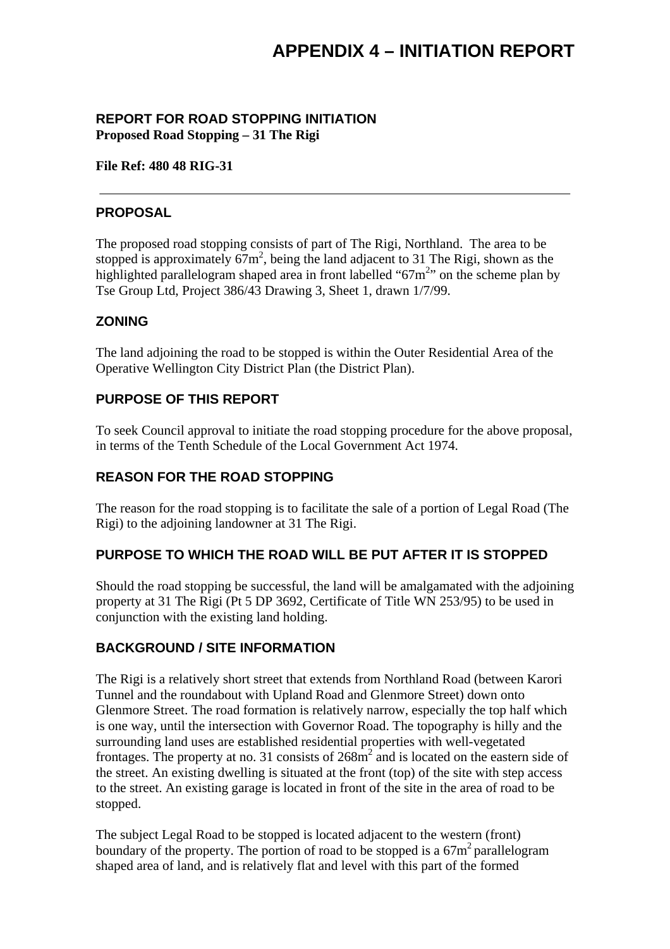### **REPORT FOR ROAD STOPPING INITIATION Proposed Road Stopping – 31 The Rigi**

#### **File Ref: 480 48 RIG-31**

### **PROPOSAL**

The proposed road stopping consists of part of The Rigi, Northland. The area to be stopped is approximately  $67m^2$ , being the land adjacent to 31 The Rigi, shown as the highlighted parallelogram shaped area in front labelled " $67m<sup>2</sup>$ " on the scheme plan by Tse Group Ltd, Project 386/43 Drawing 3, Sheet 1, drawn 1/7/99.

### **ZONING**

The land adjoining the road to be stopped is within the Outer Residential Area of the Operative Wellington City District Plan (the District Plan).

### **PURPOSE OF THIS REPORT**

To seek Council approval to initiate the road stopping procedure for the above proposal, in terms of the Tenth Schedule of the Local Government Act 1974.

## **REASON FOR THE ROAD STOPPING**

The reason for the road stopping is to facilitate the sale of a portion of Legal Road (The Rigi) to the adjoining landowner at 31 The Rigi.

## **PURPOSE TO WHICH THE ROAD WILL BE PUT AFTER IT IS STOPPED**

Should the road stopping be successful, the land will be amalgamated with the adjoining property at 31 The Rigi (Pt 5 DP 3692, Certificate of Title WN 253/95) to be used in conjunction with the existing land holding.

## **BACKGROUND / SITE INFORMATION**

The Rigi is a relatively short street that extends from Northland Road (between Karori Tunnel and the roundabout with Upland Road and Glenmore Street) down onto Glenmore Street. The road formation is relatively narrow, especially the top half which is one way, until the intersection with Governor Road. The topography is hilly and the surrounding land uses are established residential properties with well-vegetated frontages. The property at no. 31 consists of  $268m^2$  and is located on the eastern side of the street. An existing dwelling is situated at the front (top) of the site with step access to the street. An existing garage is located in front of the site in the area of road to be stopped.

The subject Legal Road to be stopped is located adjacent to the western (front) boundary of the property. The portion of road to be stopped is a  $67m^2$  parallelogram shaped area of land, and is relatively flat and level with this part of the formed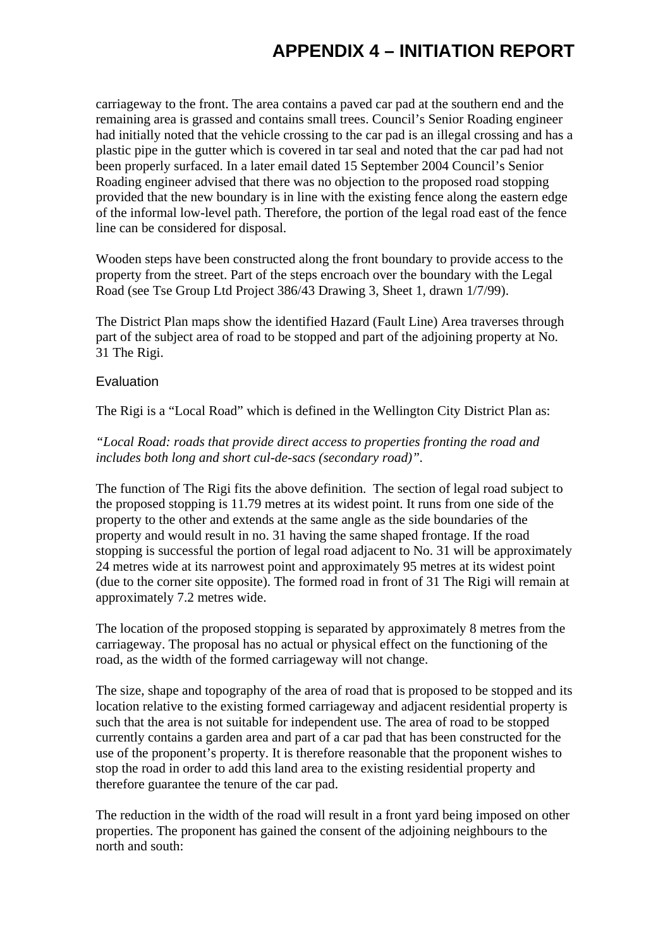# **APPENDIX 4 – INITIATION REPORT**

carriageway to the front. The area contains a paved car pad at the southern end and the remaining area is grassed and contains small trees. Council's Senior Roading engineer had initially noted that the vehicle crossing to the car pad is an illegal crossing and has a plastic pipe in the gutter which is covered in tar seal and noted that the car pad had not been properly surfaced. In a later email dated 15 September 2004 Council's Senior Roading engineer advised that there was no objection to the proposed road stopping provided that the new boundary is in line with the existing fence along the eastern edge of the informal low-level path. Therefore, the portion of the legal road east of the fence line can be considered for disposal.

Wooden steps have been constructed along the front boundary to provide access to the property from the street. Part of the steps encroach over the boundary with the Legal Road (see Tse Group Ltd Project 386/43 Drawing 3, Sheet 1, drawn 1/7/99).

The District Plan maps show the identified Hazard (Fault Line) Area traverses through part of the subject area of road to be stopped and part of the adjoining property at No. 31 The Rigi.

#### Evaluation

The Rigi is a "Local Road" which is defined in the Wellington City District Plan as:

#### *"Local Road: roads that provide direct access to properties fronting the road and includes both long and short cul-de-sacs (secondary road)".*

The function of The Rigi fits the above definition. The section of legal road subject to the proposed stopping is 11.79 metres at its widest point. It runs from one side of the property to the other and extends at the same angle as the side boundaries of the property and would result in no. 31 having the same shaped frontage. If the road stopping is successful the portion of legal road adjacent to No. 31 will be approximately 24 metres wide at its narrowest point and approximately 95 metres at its widest point (due to the corner site opposite). The formed road in front of 31 The Rigi will remain at approximately 7.2 metres wide.

The location of the proposed stopping is separated by approximately 8 metres from the carriageway. The proposal has no actual or physical effect on the functioning of the road, as the width of the formed carriageway will not change.

The size, shape and topography of the area of road that is proposed to be stopped and its location relative to the existing formed carriageway and adjacent residential property is such that the area is not suitable for independent use. The area of road to be stopped currently contains a garden area and part of a car pad that has been constructed for the use of the proponent's property. It is therefore reasonable that the proponent wishes to stop the road in order to add this land area to the existing residential property and therefore guarantee the tenure of the car pad.

The reduction in the width of the road will result in a front yard being imposed on other properties. The proponent has gained the consent of the adjoining neighbours to the north and south: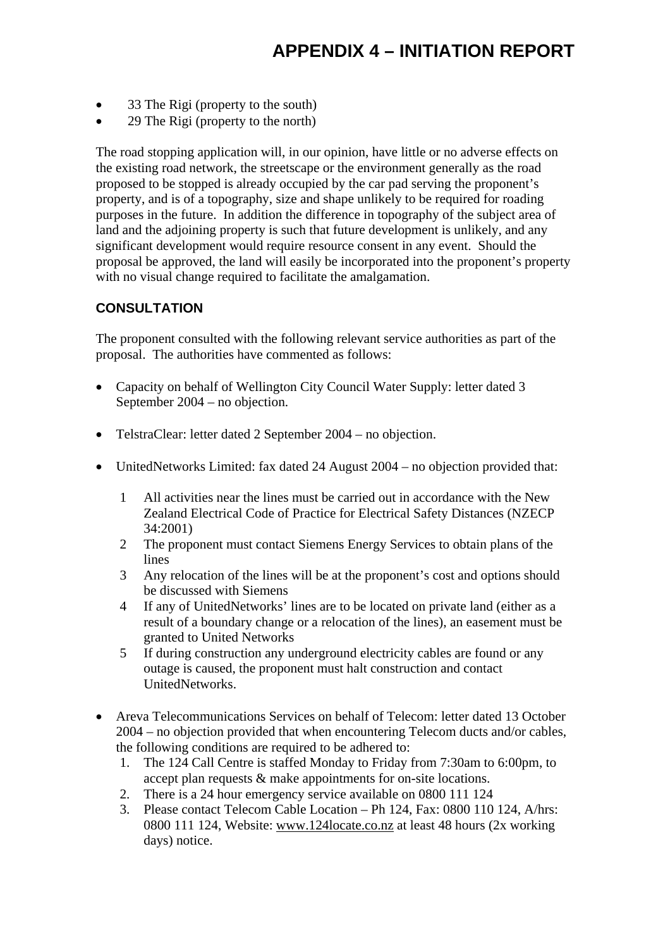- 33 The Rigi (property to the south)
- 29 The Rigi (property to the north)

The road stopping application will, in our opinion, have little or no adverse effects on the existing road network, the streetscape or the environment generally as the road proposed to be stopped is already occupied by the car pad serving the proponent's property, and is of a topography, size and shape unlikely to be required for roading purposes in the future. In addition the difference in topography of the subject area of land and the adjoining property is such that future development is unlikely, and any significant development would require resource consent in any event. Should the proposal be approved, the land will easily be incorporated into the proponent's property with no visual change required to facilitate the amalgamation.

## **CONSULTATION**

The proponent consulted with the following relevant service authorities as part of the proposal. The authorities have commented as follows:

- Capacity on behalf of Wellington City Council Water Supply: letter dated 3 September 2004 – no objection.
- TelstraClear: letter dated 2 September 2004 no objection.
- UnitedNetworks Limited: fax dated 24 August 2004 no objection provided that:
	- 1 All activities near the lines must be carried out in accordance with the New Zealand Electrical Code of Practice for Electrical Safety Distances (NZECP 34:2001)
	- 2 The proponent must contact Siemens Energy Services to obtain plans of the lines
	- 3 Any relocation of the lines will be at the proponent's cost and options should be discussed with Siemens
	- 4 If any of UnitedNetworks' lines are to be located on private land (either as a result of a boundary change or a relocation of the lines), an easement must be granted to United Networks
	- 5 If during construction any underground electricity cables are found or any outage is caused, the proponent must halt construction and contact UnitedNetworks.
- Areva Telecommunications Services on behalf of Telecom: letter dated 13 October 2004 – no objection provided that when encountering Telecom ducts and/or cables, the following conditions are required to be adhered to:
	- 1. The 124 Call Centre is staffed Monday to Friday from 7:30am to 6:00pm, to accept plan requests & make appointments for on-site locations.
	- 2. There is a 24 hour emergency service available on 0800 111 124
	- 3. Please contact Telecom Cable Location Ph 124, Fax: 0800 110 124, A/hrs: 0800 111 124, Website: www.124locate.co.nz at least 48 hours (2x working days) notice.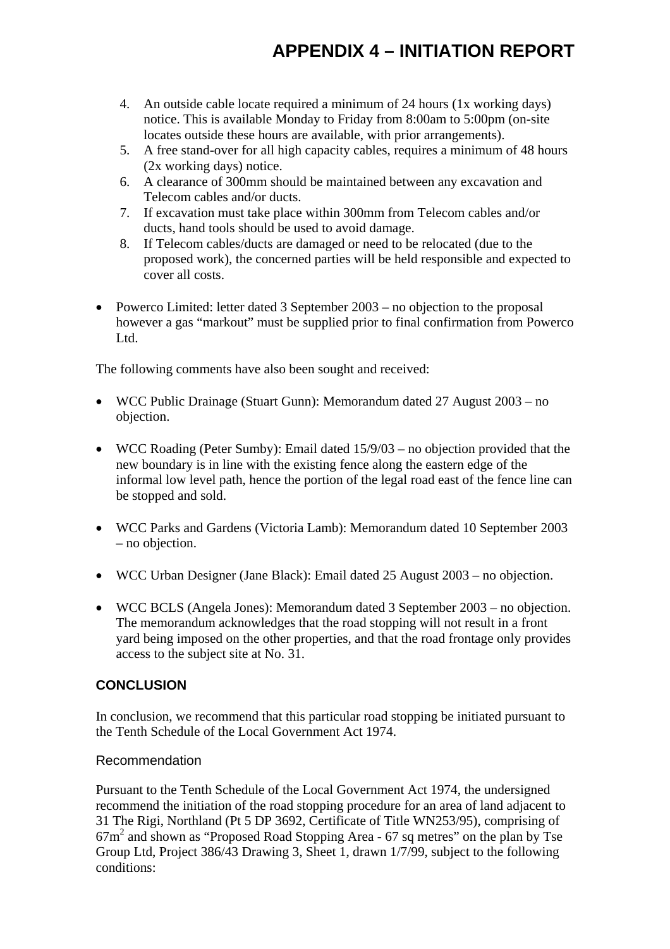# **APPENDIX 4 – INITIATION REPORT**

- 4. An outside cable locate required a minimum of 24 hours (1x working days) notice. This is available Monday to Friday from 8:00am to 5:00pm (on-site locates outside these hours are available, with prior arrangements).
- 5. A free stand-over for all high capacity cables, requires a minimum of 48 hours (2x working days) notice.
- 6. A clearance of 300mm should be maintained between any excavation and Telecom cables and/or ducts.
- 7. If excavation must take place within 300mm from Telecom cables and/or ducts, hand tools should be used to avoid damage.
- 8. If Telecom cables/ducts are damaged or need to be relocated (due to the proposed work), the concerned parties will be held responsible and expected to cover all costs.
- Powerco Limited: letter dated 3 September 2003 no objection to the proposal however a gas "markout" must be supplied prior to final confirmation from Powerco Ltd.

The following comments have also been sought and received:

- WCC Public Drainage (Stuart Gunn): Memorandum dated 27 August 2003 no objection.
- WCC Roading (Peter Sumby): Email dated  $15/9/03$  no objection provided that the new boundary is in line with the existing fence along the eastern edge of the informal low level path, hence the portion of the legal road east of the fence line can be stopped and sold.
- WCC Parks and Gardens (Victoria Lamb): Memorandum dated 10 September 2003 – no objection.
- WCC Urban Designer (Jane Black): Email dated 25 August 2003 no objection.
- WCC BCLS (Angela Jones): Memorandum dated 3 September 2003 no objection. The memorandum acknowledges that the road stopping will not result in a front yard being imposed on the other properties, and that the road frontage only provides access to the subject site at No. 31.

## **CONCLUSION**

In conclusion, we recommend that this particular road stopping be initiated pursuant to the Tenth Schedule of the Local Government Act 1974.

#### Recommendation

Pursuant to the Tenth Schedule of the Local Government Act 1974, the undersigned recommend the initiation of the road stopping procedure for an area of land adjacent to 31 The Rigi, Northland (Pt 5 DP 3692, Certificate of Title WN253/95), comprising of 67m2 and shown as "Proposed Road Stopping Area - 67 sq metres" on the plan by Tse Group Ltd, Project 386/43 Drawing 3, Sheet 1, drawn 1/7/99, subject to the following conditions: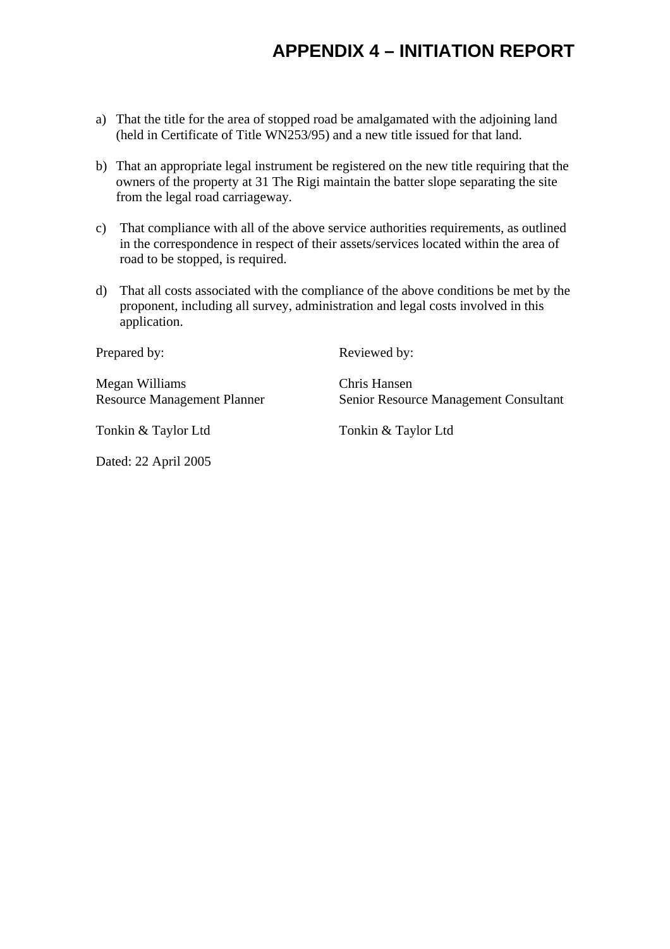# **APPENDIX 4 – INITIATION REPORT**

- a) That the title for the area of stopped road be amalgamated with the adjoining land (held in Certificate of Title WN253/95) and a new title issued for that land.
- b) That an appropriate legal instrument be registered on the new title requiring that the owners of the property at 31 The Rigi maintain the batter slope separating the site from the legal road carriageway.
- c) That compliance with all of the above service authorities requirements, as outlined in the correspondence in respect of their assets/services located within the area of road to be stopped, is required.
- d) That all costs associated with the compliance of the above conditions be met by the proponent, including all survey, administration and legal costs involved in this application.

| Prepared by:                                         | Reviewed by:                                          |
|------------------------------------------------------|-------------------------------------------------------|
| Megan Williams<br><b>Resource Management Planner</b> | Chris Hansen<br>Senior Resource Management Consultant |
| Tonkin & Taylor Ltd                                  | Tonkin & Taylor Ltd                                   |

Dated: 22 April 2005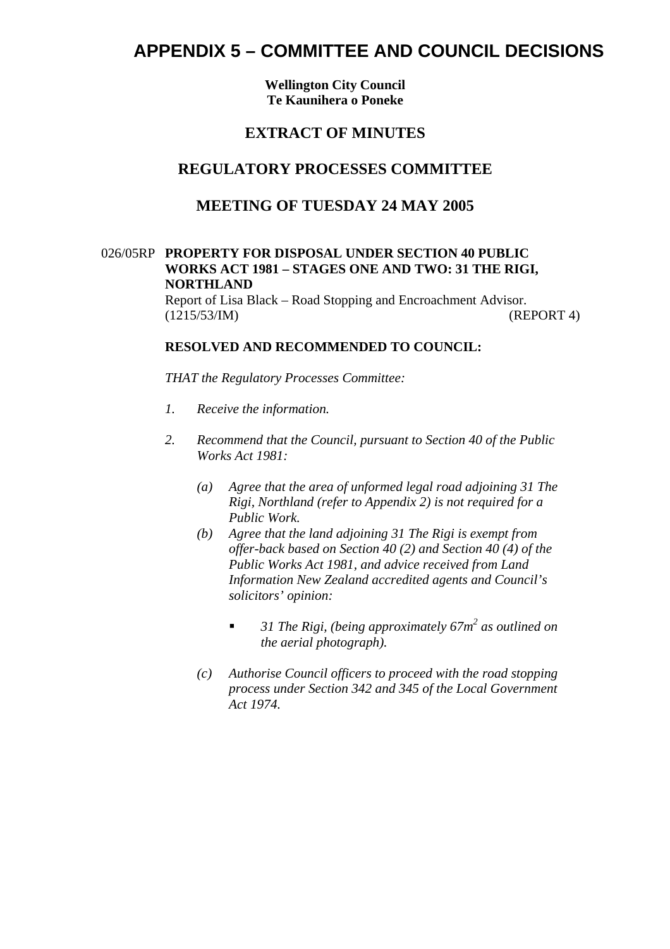**Wellington City Council Te Kaunihera o Poneke** 

## **EXTRACT OF MINUTES**

### **REGULATORY PROCESSES COMMITTEE**

## **MEETING OF TUESDAY 24 MAY 2005**

#### 026/05RP **PROPERTY FOR DISPOSAL UNDER SECTION 40 PUBLIC WORKS ACT 1981 – STAGES ONE AND TWO: 31 THE RIGI, NORTHLAND**

Report of Lisa Black – Road Stopping and Encroachment Advisor. (1215/53/IM) (REPORT 4)

#### **RESOLVED AND RECOMMENDED TO COUNCIL:**

*THAT the Regulatory Processes Committee:*

- *1. Receive the information.*
- *2. Recommend that the Council, pursuant to Section 40 of the Public Works Act 1981:* 
	- *(a) Agree that the area of unformed legal road adjoining 31 The Rigi, Northland (refer to Appendix 2) is not required for a Public Work.*
	- *(b) Agree that the land adjoining 31 The Rigi is exempt from offer-back based on Section 40 (2) and Section 40 (4) of the Public Works Act 1981, and advice received from Land Information New Zealand accredited agents and Council's solicitors' opinion:* 
		- 31 The Rigi, (being approximately 67m<sup>2</sup> as outlined on *the aerial photograph).*
	- *(c) Authorise Council officers to proceed with the road stopping process under Section 342 and 345 of the Local Government Act 1974.*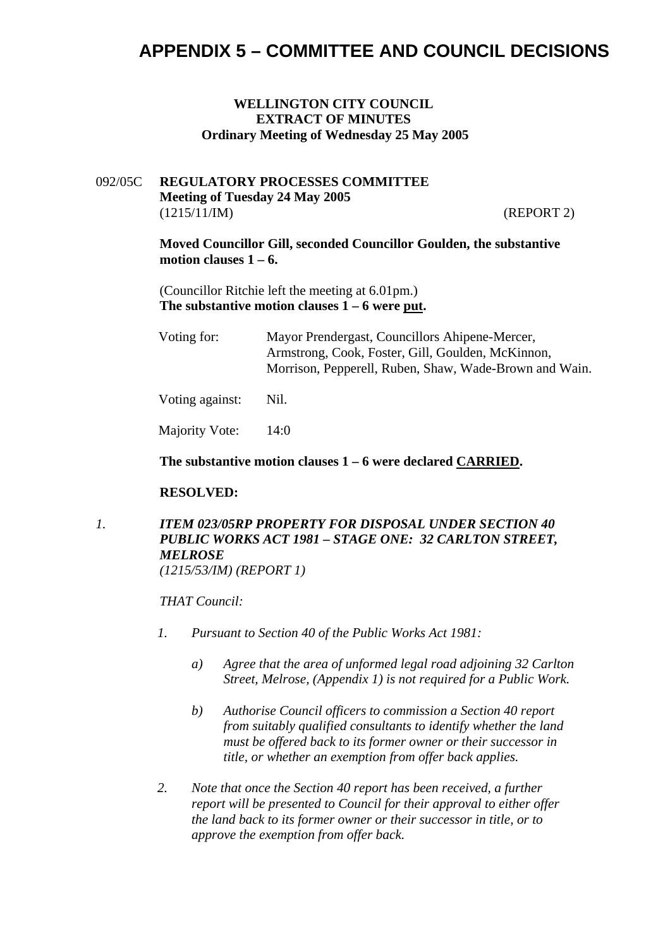#### **WELLINGTON CITY COUNCIL EXTRACT OF MINUTES Ordinary Meeting of Wednesday 25 May 2005**

#### 092/05C **REGULATORY PROCESSES COMMITTEE Meeting of Tuesday 24 May 2005** (1215/11/IM) (REPORT 2)

**Moved Councillor Gill, seconded Councillor Goulden, the substantive**  motion clauses  $1 - 6$ .

(Councillor Ritchie left the meeting at 6.01pm.) **The substantive motion clauses 1 – 6 were put.** 

| Voting for: | Mayor Prendergast, Councillors Ahipene-Mercer,         |  |  |
|-------------|--------------------------------------------------------|--|--|
|             | Armstrong, Cook, Foster, Gill, Goulden, McKinnon,      |  |  |
|             | Morrison, Pepperell, Ruben, Shaw, Wade-Brown and Wain. |  |  |
|             |                                                        |  |  |

Voting against: Nil.

Majority Vote: 14:0

**The substantive motion clauses 1 – 6 were declared CARRIED.** 

#### **RESOLVED:**

# *1. ITEM 023/05RP PROPERTY FOR DISPOSAL UNDER SECTION 40 PUBLIC WORKS ACT 1981 – STAGE ONE: 32 CARLTON STREET, MELROSE*

*(1215/53/IM) (REPORT 1)* 

*THAT Council:*

- *1. Pursuant to Section 40 of the Public Works Act 1981:* 
	- *a) Agree that the area of unformed legal road adjoining 32 Carlton Street, Melrose, (Appendix 1) is not required for a Public Work.*
	- *b) Authorise Council officers to commission a Section 40 report from suitably qualified consultants to identify whether the land must be offered back to its former owner or their successor in title, or whether an exemption from offer back applies.*
- *2. Note that once the Section 40 report has been received, a further report will be presented to Council for their approval to either offer the land back to its former owner or their successor in title, or to approve the exemption from offer back.*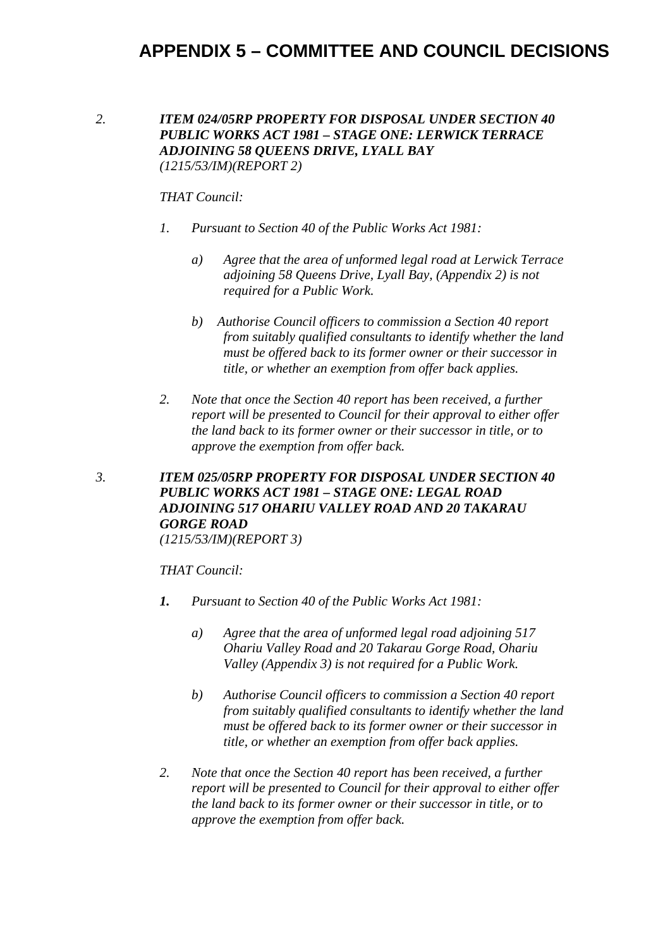#### *2. ITEM 024/05RP PROPERTY FOR DISPOSAL UNDER SECTION 40 PUBLIC WORKS ACT 1981 – STAGE ONE: LERWICK TERRACE ADJOINING 58 QUEENS DRIVE, LYALL BAY (1215/53/IM)(REPORT 2)*

#### *THAT Council:*

- *1. Pursuant to Section 40 of the Public Works Act 1981:* 
	- *a) Agree that the area of unformed legal road at Lerwick Terrace adjoining 58 Queens Drive, Lyall Bay, (Appendix 2) is not required for a Public Work.*
	- *b) Authorise Council officers to commission a Section 40 report from suitably qualified consultants to identify whether the land must be offered back to its former owner or their successor in title, or whether an exemption from offer back applies.*
- *2. Note that once the Section 40 report has been received, a further report will be presented to Council for their approval to either offer the land back to its former owner or their successor in title, or to approve the exemption from offer back.*

## *3. ITEM 025/05RP PROPERTY FOR DISPOSAL UNDER SECTION 40 PUBLIC WORKS ACT 1981 – STAGE ONE: LEGAL ROAD ADJOINING 517 OHARIU VALLEY ROAD AND 20 TAKARAU GORGE ROAD*

*(1215/53/IM)(REPORT 3)* 

#### *THAT Council:*

- *1. Pursuant to Section 40 of the Public Works Act 1981:* 
	- *a) Agree that the area of unformed legal road adjoining 517 Ohariu Valley Road and 20 Takarau Gorge Road, Ohariu Valley (Appendix 3) is not required for a Public Work.*
	- *b) Authorise Council officers to commission a Section 40 report from suitably qualified consultants to identify whether the land must be offered back to its former owner or their successor in title, or whether an exemption from offer back applies.*
- 2. Note that once the Section 40 report has been received, a further *report will be presented to Council for their approval to either offer the land back to its former owner or their successor in title, or to approve the exemption from offer back.*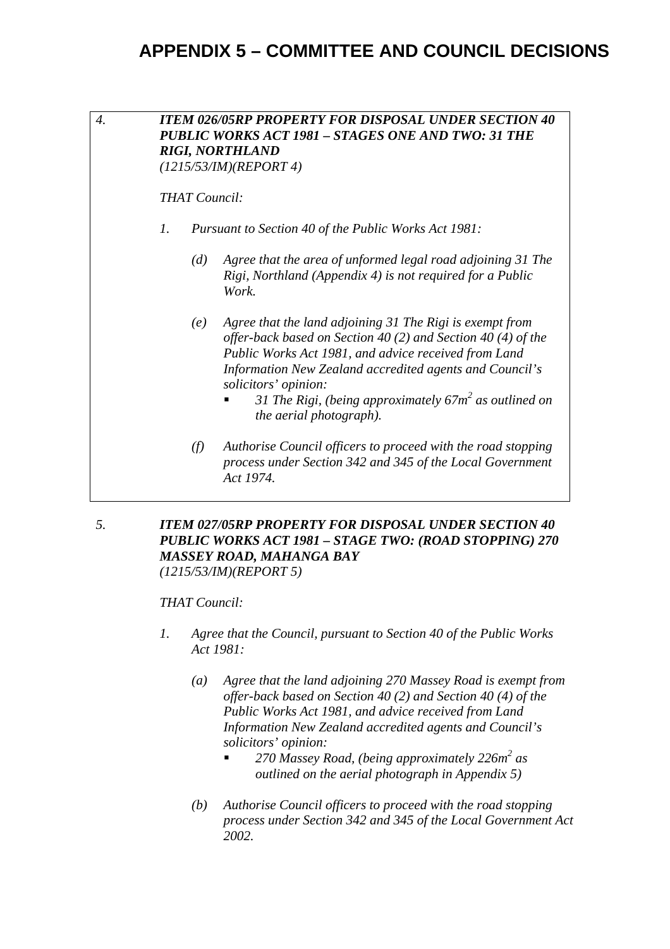

*5. ITEM 027/05RP PROPERTY FOR DISPOSAL UNDER SECTION 40 PUBLIC WORKS ACT 1981 – STAGE TWO: (ROAD STOPPING) 270 MASSEY ROAD, MAHANGA BAY (1215/53/IM)(REPORT 5)* 

#### *THAT Council:*

- *1. Agree that the Council, pursuant to Section 40 of the Public Works Act 1981:* 
	- *(a) Agree that the land adjoining 270 Massey Road is exempt from offer-back based on Section 40 (2) and Section 40 (4) of the Public Works Act 1981, and advice received from Land Information New Zealand accredited agents and Council's solicitors' opinion:* 
		- 270 Massey Road, (being approximately 226m<sup>2</sup> as *outlined on the aerial photograph in Appendix 5)*
	- *(b) Authorise Council officers to proceed with the road stopping process under Section 342 and 345 of the Local Government Act 2002.*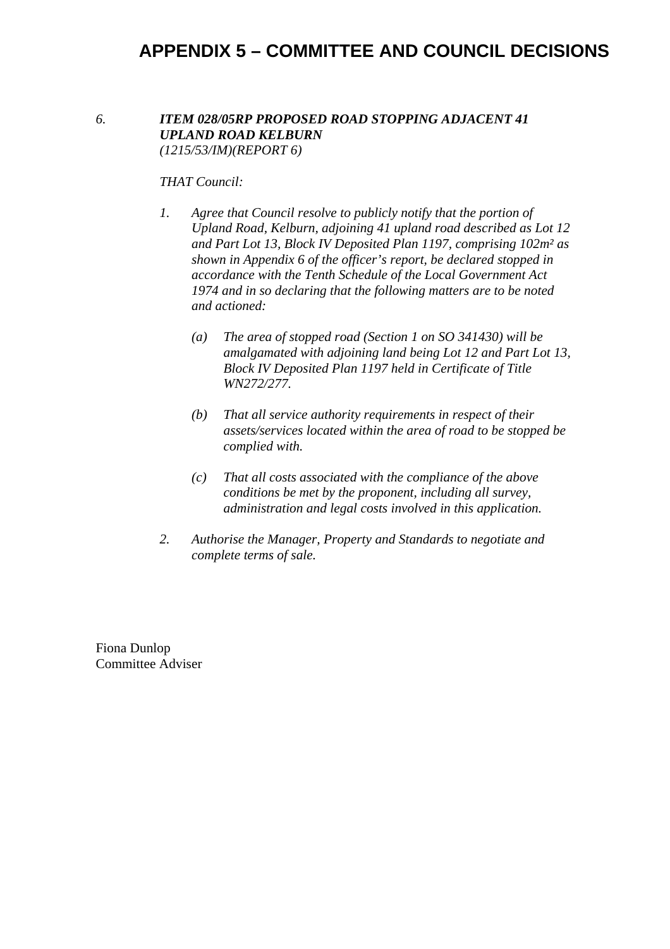#### *6. ITEM 028/05RP PROPOSED ROAD STOPPING ADJACENT 41 UPLAND ROAD KELBURN (1215/53/IM)(REPORT 6)*

#### *THAT Council:*

- *1. Agree that Council resolve to publicly notify that the portion of Upland Road, Kelburn, adjoining 41 upland road described as Lot 12 and Part Lot 13, Block IV Deposited Plan 1197, comprising 102m² as shown in Appendix 6 of the officer's report, be declared stopped in accordance with the Tenth Schedule of the Local Government Act 1974 and in so declaring that the following matters are to be noted and actioned:* 
	- *(a) The area of stopped road (Section 1 on SO 341430) will be amalgamated with adjoining land being Lot 12 and Part Lot 13, Block IV Deposited Plan 1197 held in Certificate of Title WN272/277.*
	- *(b) That all service authority requirements in respect of their assets/services located within the area of road to be stopped be complied with.*
	- *(c) That all costs associated with the compliance of the above conditions be met by the proponent, including all survey, administration and legal costs involved in this application.*
- *2. Authorise the Manager, Property and Standards to negotiate and complete terms of sale.*

Fiona Dunlop Committee Adviser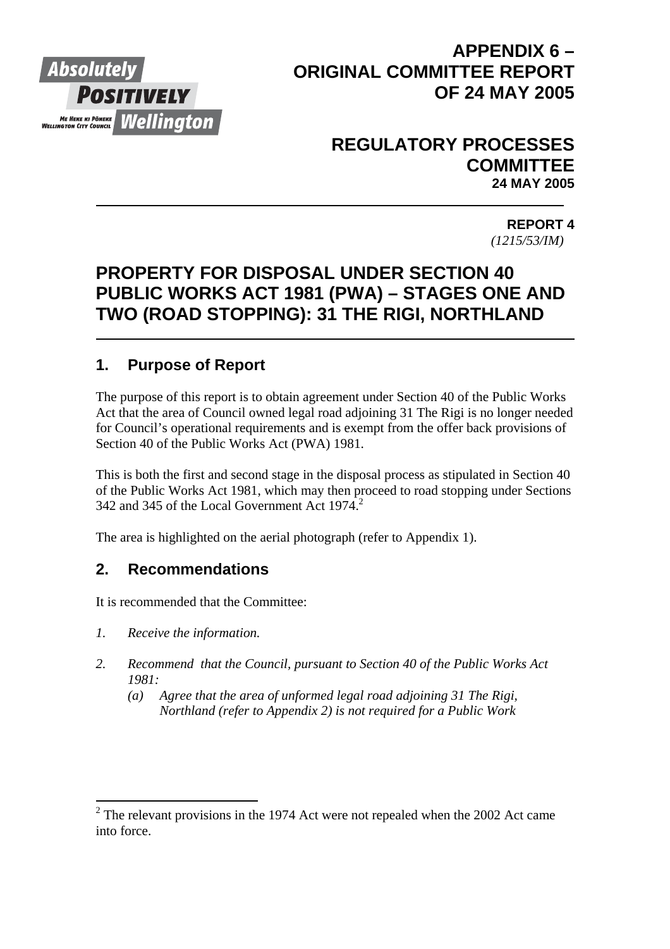

# **APPENDIX 6 – ORIGINAL COMMITTEE REPORT OF 24 MAY 2005**

# **REGULATORY PROCESSES COMMITTEE 24 MAY 2005**

 **REPORT 4** *(1215/53/IM)* 

# **PROPERTY FOR DISPOSAL UNDER SECTION 40 PUBLIC WORKS ACT 1981 (PWA) – STAGES ONE AND TWO (ROAD STOPPING): 31 THE RIGI, NORTHLAND**

# **1. Purpose of Report**

The purpose of this report is to obtain agreement under Section 40 of the Public Works Act that the area of Council owned legal road adjoining 31 The Rigi is no longer needed for Council's operational requirements and is exempt from the offer back provisions of Section 40 of the Public Works Act (PWA) 1981.

This is both the first and second stage in the disposal process as stipulated in Section 40 of the Public Works Act 1981, which may then proceed to road stopping under Sections 342 and 345 of the Local Government Act  $1974$ <sup>2</sup>

The area is highlighted on the aerial photograph (refer to Appendix 1).

# **2. Recommendations**

It is recommended that the Committee:

*1. Receive the information.* 

 $\overline{a}$ 

- *2. Recommend that the Council, pursuant to Section 40 of the Public Works Act 1981:* 
	- *(a) Agree that the area of unformed legal road adjoining 31 The Rigi, Northland (refer to Appendix 2) is not required for a Public Work*

 $2^2$  The relevant provisions in the 1974 Act were not repealed when the 2002 Act came into force.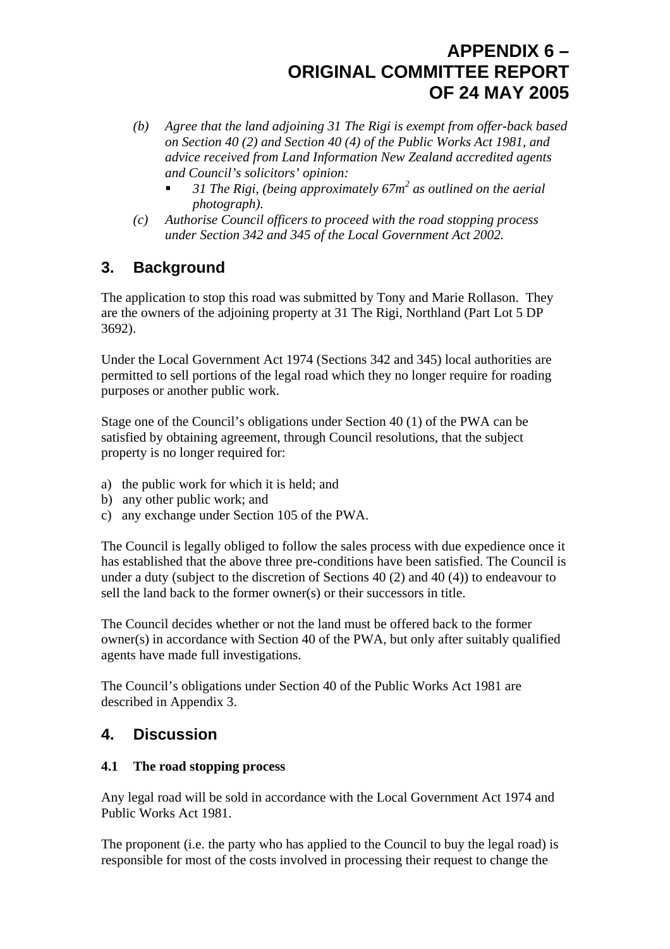- *(b) Agree that the land adjoining 31 The Rigi is exempt from offer-back based on Section 40 (2) and Section 40 (4) of the Public Works Act 1981, and advice received from Land Information New Zealand accredited agents and Council's solicitors' opinion:* 
	- 31 The Rigi, (being approximately 67m<sup>2</sup> as outlined on the aerial *photograph).*
- *(c) Authorise Council officers to proceed with the road stopping process under Section 342 and 345 of the Local Government Act 2002.*

# **3. Background**

The application to stop this road was submitted by Tony and Marie Rollason. They are the owners of the adjoining property at 31 The Rigi, Northland (Part Lot 5 DP 3692).

Under the Local Government Act 1974 (Sections 342 and 345) local authorities are permitted to sell portions of the legal road which they no longer require for roading purposes or another public work.

Stage one of the Council's obligations under Section 40 (1) of the PWA can be satisfied by obtaining agreement, through Council resolutions, that the subject property is no longer required for:

- a) the public work for which it is held; and
- b) any other public work; and
- c) any exchange under Section 105 of the PWA.

The Council is legally obliged to follow the sales process with due expedience once it has established that the above three pre-conditions have been satisfied. The Council is under a duty (subject to the discretion of Sections 40 (2) and 40 (4)) to endeavour to sell the land back to the former owner(s) or their successors in title.

The Council decides whether or not the land must be offered back to the former owner(s) in accordance with Section 40 of the PWA, but only after suitably qualified agents have made full investigations.

The Council's obligations under Section 40 of the Public Works Act 1981 are described in Appendix 3.

# **4. Discussion**

## **4.1 The road stopping process**

Any legal road will be sold in accordance with the Local Government Act 1974 and Public Works Act 1981.

The proponent (i.e. the party who has applied to the Council to buy the legal road) is responsible for most of the costs involved in processing their request to change the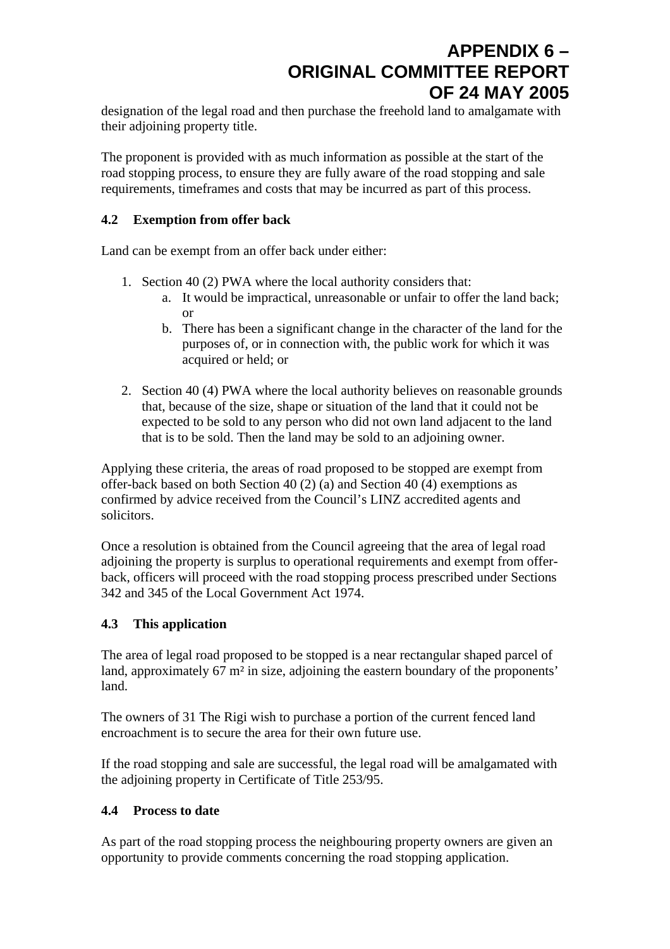designation of the legal road and then purchase the freehold land to amalgamate with their adjoining property title.

The proponent is provided with as much information as possible at the start of the road stopping process, to ensure they are fully aware of the road stopping and sale requirements, timeframes and costs that may be incurred as part of this process.

#### **4.2 Exemption from offer back**

Land can be exempt from an offer back under either:

- 1. Section 40 (2) PWA where the local authority considers that:
	- a. It would be impractical, unreasonable or unfair to offer the land back; or
	- b. There has been a significant change in the character of the land for the purposes of, or in connection with, the public work for which it was acquired or held; or
- 2. Section 40 (4) PWA where the local authority believes on reasonable grounds that, because of the size, shape or situation of the land that it could not be expected to be sold to any person who did not own land adjacent to the land that is to be sold. Then the land may be sold to an adjoining owner.

Applying these criteria, the areas of road proposed to be stopped are exempt from offer-back based on both Section 40 (2) (a) and Section 40 (4) exemptions as confirmed by advice received from the Council's LINZ accredited agents and solicitors.

Once a resolution is obtained from the Council agreeing that the area of legal road adjoining the property is surplus to operational requirements and exempt from offerback, officers will proceed with the road stopping process prescribed under Sections 342 and 345 of the Local Government Act 1974.

## **4.3 This application**

The area of legal road proposed to be stopped is a near rectangular shaped parcel of land, approximately 67 m² in size, adjoining the eastern boundary of the proponents' land.

The owners of 31 The Rigi wish to purchase a portion of the current fenced land encroachment is to secure the area for their own future use.

If the road stopping and sale are successful, the legal road will be amalgamated with the adjoining property in Certificate of Title 253/95.

#### **4.4 Process to date**

As part of the road stopping process the neighbouring property owners are given an opportunity to provide comments concerning the road stopping application.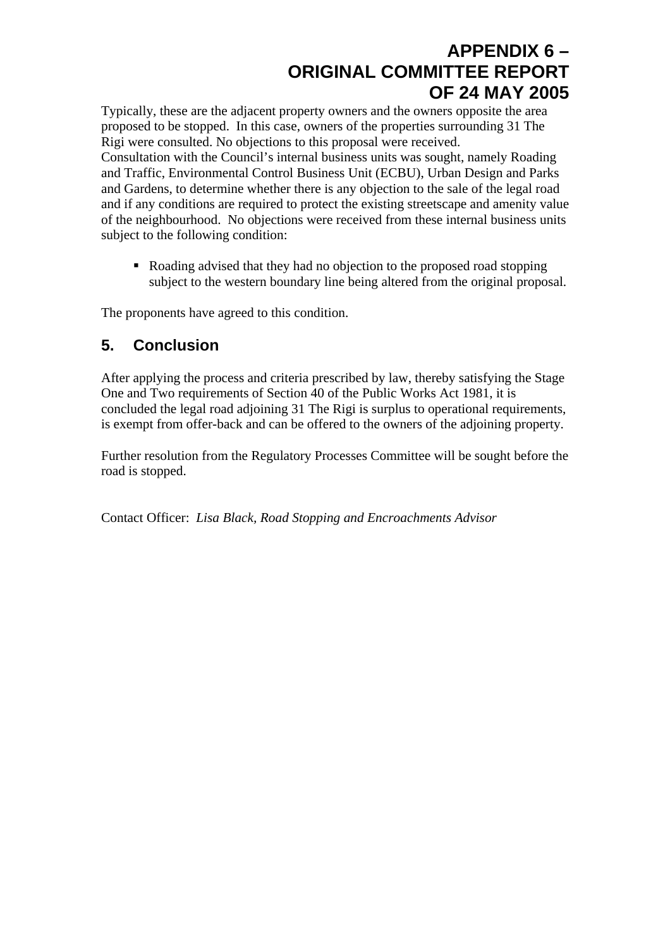Typically, these are the adjacent property owners and the owners opposite the area proposed to be stopped. In this case, owners of the properties surrounding 31 The Rigi were consulted. No objections to this proposal were received.

Consultation with the Council's internal business units was sought, namely Roading and Traffic, Environmental Control Business Unit (ECBU), Urban Design and Parks and Gardens, to determine whether there is any objection to the sale of the legal road and if any conditions are required to protect the existing streetscape and amenity value of the neighbourhood. No objections were received from these internal business units subject to the following condition:

Roading advised that they had no objection to the proposed road stopping subject to the western boundary line being altered from the original proposal.

The proponents have agreed to this condition.

# **5. Conclusion**

After applying the process and criteria prescribed by law, thereby satisfying the Stage One and Two requirements of Section 40 of the Public Works Act 1981, it is concluded the legal road adjoining 31 The Rigi is surplus to operational requirements, is exempt from offer-back and can be offered to the owners of the adjoining property.

Further resolution from the Regulatory Processes Committee will be sought before the road is stopped.

Contact Officer: *Lisa Black, Road Stopping and Encroachments Advisor*